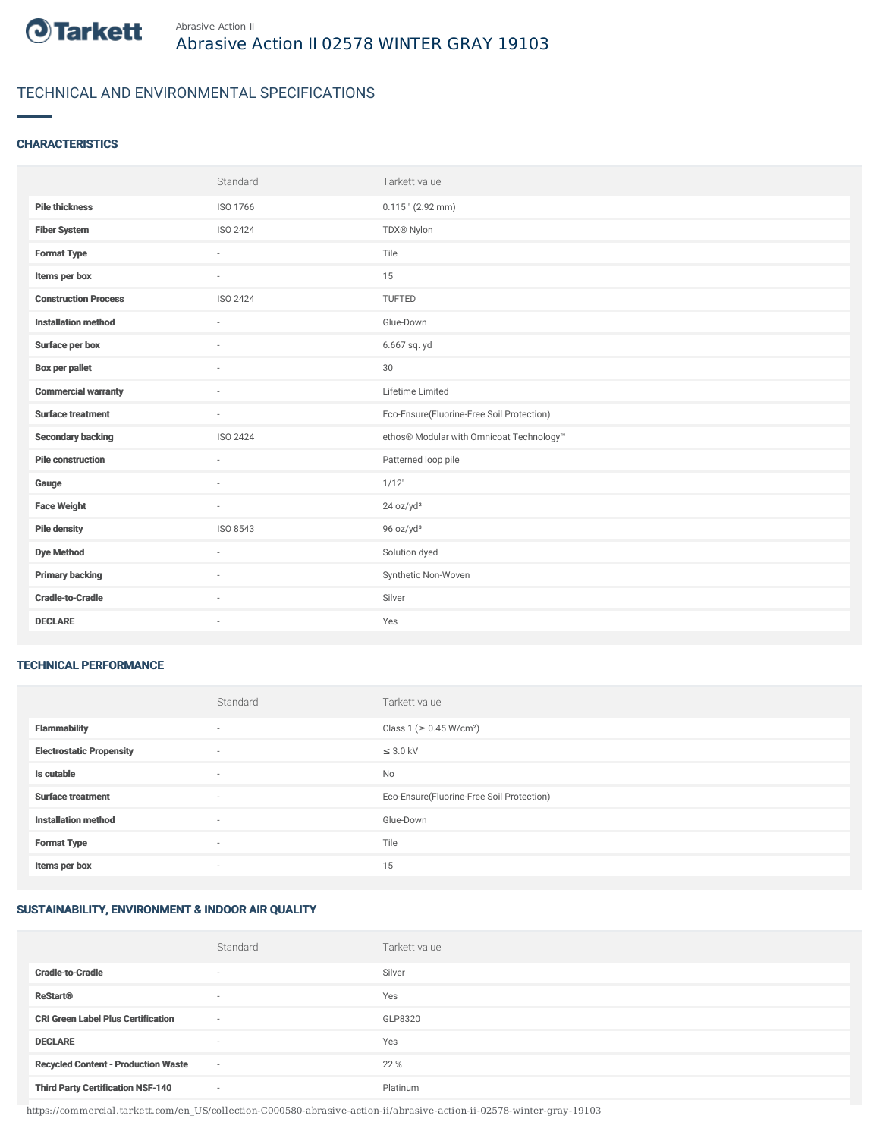

# TECHNICAL AND ENVIRONMENTAL SPECIFICATIONS

## **CHARACTERISTICS**

|                             | Standard                 | Tarkett value                             |
|-----------------------------|--------------------------|-------------------------------------------|
| <b>Pile thickness</b>       | ISO 1766                 | $0.115$ " (2.92 mm)                       |
| <b>Fiber System</b>         | <b>ISO 2424</b>          | TDX® Nylon                                |
| <b>Format Type</b>          | ٠                        | Tile                                      |
| Items per box               | ٠                        | 15                                        |
| <b>Construction Process</b> | ISO 2424                 | TUFTED                                    |
| <b>Installation method</b>  | $\overline{\phantom{a}}$ | Glue-Down                                 |
| Surface per box             | $\sim$                   | 6.667 sq. yd                              |
| <b>Box per pallet</b>       | ٠                        | 30                                        |
| <b>Commercial warranty</b>  | $\sim$                   | Lifetime Limited                          |
| <b>Surface treatment</b>    | $\sim$                   | Eco-Ensure(Fluorine-Free Soil Protection) |
| <b>Secondary backing</b>    | ISO 2424                 | ethos® Modular with Omnicoat Technology™  |
| <b>Pile construction</b>    | ×.                       | Patterned loop pile                       |
| Gauge                       | $\sim$                   | 1/12"                                     |
| <b>Face Weight</b>          | $\overline{\phantom{a}}$ | 24 oz/yd <sup>2</sup>                     |
| <b>Pile density</b>         | ISO 8543                 | 96 oz/yd <sup>3</sup>                     |
| <b>Dye Method</b>           | ٠                        | Solution dyed                             |
| <b>Primary backing</b>      | ٠                        | Synthetic Non-Woven                       |
| <b>Cradle-to-Cradle</b>     |                          | Silver                                    |
| <b>DECLARE</b>              | $\sim$                   | Yes                                       |

#### TECHNICAL PERFORMANCE

|                                 | Standard | Tarkett value                             |
|---------------------------------|----------|-------------------------------------------|
| <b>Flammability</b>             | $\sim$   | Class 1 (≥ 0.45 W/cm <sup>2</sup> )       |
| <b>Electrostatic Propensity</b> | $\sim$   | $\leq$ 3.0 kV                             |
| Is cutable                      | $\sim$   | No                                        |
| <b>Surface treatment</b>        | $\sim$   | Eco-Ensure(Fluorine-Free Soil Protection) |
| <b>Installation method</b>      | $\sim$   | Glue-Down                                 |
| <b>Format Type</b>              |          | Tile                                      |
| Items per box                   | $\sim$   | 15                                        |

# SUSTAINABILITY, ENVIRONMENT & INDOOR AIR QUALITY

|                                            | Standard                 | Tarkett value |
|--------------------------------------------|--------------------------|---------------|
| <b>Cradle-to-Cradle</b>                    | $\overline{\phantom{a}}$ | Silver        |
| <b>ReStart®</b>                            | $\overline{\phantom{a}}$ | Yes           |
| <b>CRI Green Label Plus Certification</b>  | $\overline{\phantom{a}}$ | GLP8320       |
| <b>DECLARE</b>                             | $\overline{\phantom{a}}$ | Yes           |
| <b>Recycled Content - Production Waste</b> | $\sim$                   | 22 %          |
| <b>Third Party Certification NSF-140</b>   | $\sim$                   | Platinum      |

https://commercial.tarkett.com/en\_US/collection-C000580-abrasive-action-ii/abrasive-action-ii-02578-winter-gray-19103